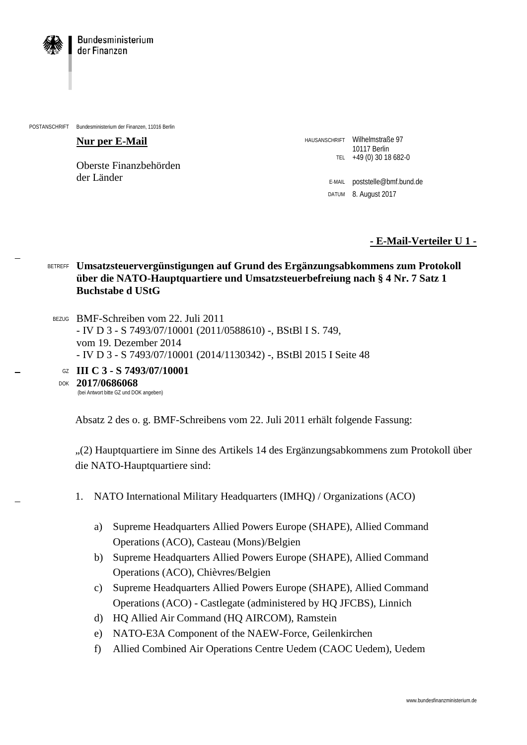

POSTANSCHRIFT Bundesministerium der Finanzen, 11016 Berlin

## **Nur per E-Mail**

Oberste Finanzbehörden der Länder

HAUSANSCHRIFT Wilhelmstraße 97 10117 Berlin TEL +49 (0) 30 18 682-0

> E-MAIL poststelle@bmf.bund.de DATUM 8. August 2017

> > **- E-Mail-Verteiler U 1 -**

## BETREFF **Umsatzsteuervergünstigungen auf Grund des Ergänzungsabkommens zum Protokoll über die NATO-Hauptquartiere und Umsatzsteuerbefreiung nach § 4 Nr. 7 Satz 1 Buchstabe d UStG**

BEZUG BMF-Schreiben vom 22. Juli 2011 - IV D 3 - S 7493/07/10001 (2011/0588610) -, BStBl I S. 749, vom 19. Dezember 2014 - IV D 3 - S 7493/07/10001 (2014/1130342) -, BStBl 2015 I Seite 48

GZ **III C 3 - S 7493/07/10001**

DOK **2017/0686068** (bei Antwort bitte GZ und DOK angeben)

Absatz 2 des o. g. BMF-Schreibens vom 22. Juli 2011 erhält folgende Fassung:

"(2) Hauptquartiere im Sinne des Artikels 14 des Ergänzungsabkommens zum Protokoll über die NATO-Hauptquartiere sind:

- 1. NATO International Military Headquarters (IMHQ) / Organizations (ACO)
	- a) Supreme Headquarters Allied Powers Europe (SHAPE), Allied Command Operations (ACO), Casteau (Mons)/Belgien
	- b) Supreme Headquarters Allied Powers Europe (SHAPE), Allied Command Operations (ACO), Chièvres/Belgien
	- c) Supreme Headquarters Allied Powers Europe (SHAPE), Allied Command Operations (ACO) - Castlegate (administered by HQ JFCBS), Linnich
	- d) HQ Allied Air Command (HQ AIRCOM), Ramstein
	- e) NATO-E3A Component of the NAEW-Force, Geilenkirchen
	- f) Allied Combined Air Operations Centre Uedem (CAOC Uedem), Uedem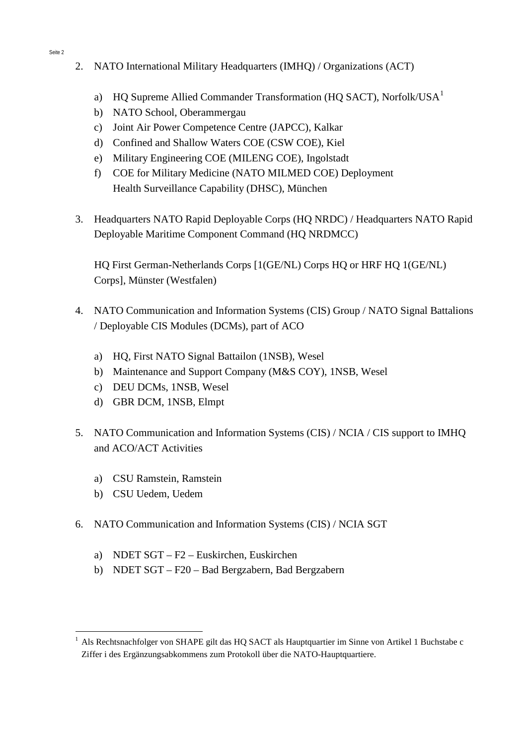- 2. NATO International Military Headquarters (IMHQ) / Organizations (ACT)
	- a) HO Supreme Allied Commander Transformation (HO SACT), Norfolk/US $A<sup>1</sup>$  $A<sup>1</sup>$  $A<sup>1</sup>$
	- b) NATO School, Oberammergau
	- c) Joint Air Power Competence Centre (JAPCC), Kalkar
	- d) Confined and Shallow Waters COE (CSW COE), Kiel
	- e) Military Engineering COE (MILENG COE), Ingolstadt
	- f) COE for Military Medicine (NATO MILMED COE) Deployment Health Surveillance Capability (DHSC), München
- 3. Headquarters NATO Rapid Deployable Corps (HQ NRDC) / Headquarters NATO Rapid Deployable Maritime Component Command (HQ NRDMCC)

HQ First German-Netherlands Corps [1(GE/NL) Corps HQ or HRF HQ 1(GE/NL) Corps], Münster (Westfalen)

- 4. NATO Communication and Information Systems (CIS) Group / NATO Signal Battalions / Deployable CIS Modules (DCMs), part of ACO
	- a) HQ, First NATO Signal Battailon (1NSB), Wesel
	- b) Maintenance and Support Company (M&S COY), 1NSB, Wesel
	- c) DEU DCMs, 1NSB, Wesel
	- d) GBR DCM, 1NSB, Elmpt
- 5. NATO Communication and Information Systems (CIS) / NCIA / CIS support to IMHQ and ACO/ACT Activities
	- a) CSU Ramstein, Ramstein
	- b) CSU Uedem, Uedem
- 6. NATO Communication and Information Systems (CIS) / NCIA SGT
	- a) NDET SGT F2 Euskirchen, Euskirchen
	- b) NDET SGT F20 Bad Bergzabern, Bad Bergzabern

<span id="page-1-0"></span><sup>&</sup>lt;sup>1</sup> Als Rechtsnachfolger von SHAPE gilt das HQ SACT als Hauptquartier im Sinne von Artikel 1 Buchstabe c Ziffer i des Ergänzungsabkommens zum Protokoll über die NATO-Hauptquartiere.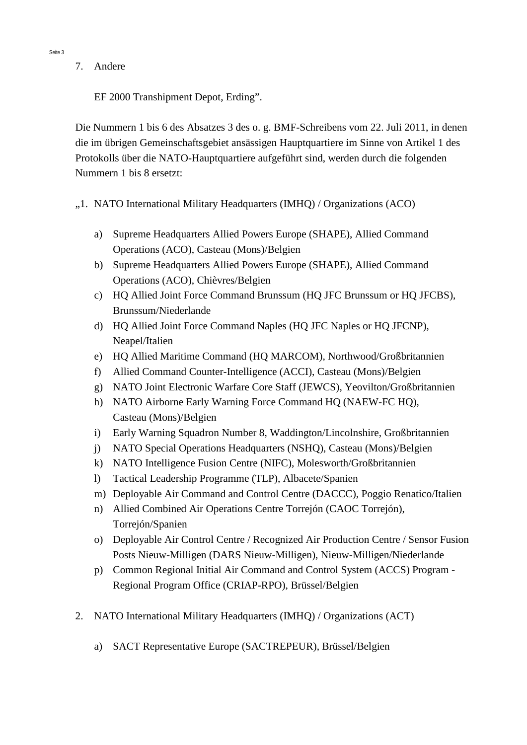7. Andere

EF 2000 Transhipment Depot, Erding".

Die Nummern 1 bis 6 des Absatzes 3 des o. g. BMF-Schreibens vom 22. Juli 2011, in denen die im übrigen Gemeinschaftsgebiet ansässigen Hauptquartiere im Sinne von Artikel 1 des Protokolls über die NATO-Hauptquartiere aufgeführt sind, werden durch die folgenden Nummern 1 bis 8 ersetzt:

- ",1. NATO International Military Headquarters (IMHQ) / Organizations (ACO)
	- a) Supreme Headquarters Allied Powers Europe (SHAPE), Allied Command Operations (ACO), Casteau (Mons)/Belgien
	- b) Supreme Headquarters Allied Powers Europe (SHAPE), Allied Command Operations (ACO), Chièvres/Belgien
	- c) HQ Allied Joint Force Command Brunssum (HQ JFC Brunssum or HQ JFCBS), Brunssum/Niederlande
	- d) HQ Allied Joint Force Command Naples (HQ JFC Naples or HQ JFCNP), Neapel/Italien
	- e) HQ Allied Maritime Command (HQ MARCOM), Northwood/Großbritannien
	- f) Allied Command Counter-Intelligence (ACCI), Casteau (Mons)/Belgien
	- g) NATO Joint Electronic Warfare Core Staff (JEWCS), Yeovilton/Großbritannien
	- h) NATO Airborne Early Warning Force Command HQ (NAEW-FC HQ), Casteau (Mons)/Belgien
	- i) Early Warning Squadron Number 8, Waddington/Lincolnshire, Großbritannien
	- j) NATO Special Operations Headquarters (NSHQ), Casteau (Mons)/Belgien
	- k) NATO Intelligence Fusion Centre (NIFC), Molesworth/Großbritannien
	- l) Tactical Leadership Programme (TLP), Albacete/Spanien
	- m) Deployable Air Command and Control Centre (DACCC), Poggio Renatico/Italien
	- n) Allied Combined Air Operations Centre Torrejón (CAOC Torrejón), Torrejón/Spanien
	- o) Deployable Air Control Centre / Recognized Air Production Centre / Sensor Fusion Posts Nieuw-Milligen (DARS Nieuw-Milligen), Nieuw-Milligen/Niederlande
	- p) Common Regional Initial Air Command and Control System (ACCS) Program Regional Program Office (CRIAP-RPO), Brüssel/Belgien
- 2. NATO International Military Headquarters (IMHQ) / Organizations (ACT)
	- a) SACT Representative Europe (SACTREPEUR), Brüssel/Belgien

Seite 3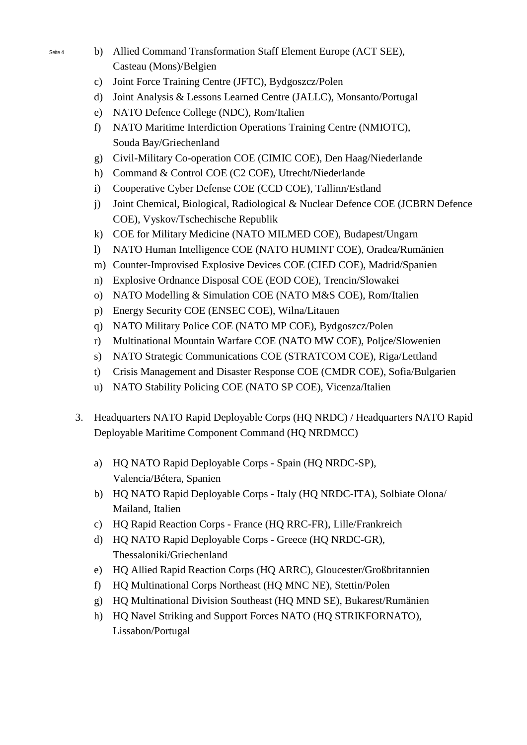- Seite 4 b) Allied Command Transformation Staff Element Europe (ACT SEE), Casteau (Mons)/Belgien
	- c) Joint Force Training Centre (JFTC), Bydgoszcz/Polen
	- d) Joint Analysis & Lessons Learned Centre (JALLC), Monsanto/Portugal
	- e) NATO Defence College (NDC), Rom/Italien
	- f) NATO Maritime Interdiction Operations Training Centre (NMIOTC), Souda Bay/Griechenland
	- g) Civil-Military Co-operation COE (CIMIC COE), Den Haag/Niederlande
	- h) Command & Control COE (C2 COE), Utrecht/Niederlande
	- i) Cooperative Cyber Defense COE (CCD COE), Tallinn/Estland
	- j) Joint Chemical, Biological, Radiological & Nuclear Defence COE (JCBRN Defence COE), Vyskov/Tschechische Republik
	- k) COE for Military Medicine (NATO MILMED COE), Budapest/Ungarn
	- l) NATO Human Intelligence COE (NATO HUMINT COE), Oradea/Rumänien
	- m) Counter-Improvised Explosive Devices COE (CIED COE), Madrid/Spanien
	- n) Explosive Ordnance Disposal COE (EOD COE), Trencin/Slowakei
	- o) NATO Modelling & Simulation COE (NATO M&S COE), Rom/Italien
	- p) Energy Security COE (ENSEC COE), Wilna/Litauen
	- q) NATO Military Police COE (NATO MP COE), Bydgoszcz/Polen
	- r) Multinational Mountain Warfare COE (NATO MW COE), Poljce/Slowenien
	- s) NATO Strategic Communications COE (STRATCOM COE), Riga/Lettland
	- t) Crisis Management and Disaster Response COE (CMDR COE), Sofia/Bulgarien
	- u) NATO Stability Policing COE (NATO SP COE), Vicenza/Italien
	- 3. Headquarters NATO Rapid Deployable Corps (HQ NRDC) / Headquarters NATO Rapid Deployable Maritime Component Command (HQ NRDMCC)
		- a) HQ NATO Rapid Deployable Corps Spain (HQ NRDC-SP), Valencia/Bétera, Spanien
		- b) HQ NATO Rapid Deployable Corps Italy (HQ NRDC-ITA), Solbiate Olona/ Mailand, Italien
		- c) HQ Rapid Reaction Corps France (HQ RRC-FR), Lille/Frankreich
		- d) HQ NATO Rapid Deployable Corps Greece (HQ NRDC-GR), Thessaloniki/Griechenland
		- e) HQ Allied Rapid Reaction Corps (HQ ARRC), Gloucester/Großbritannien
		- f) HQ Multinational Corps Northeast (HQ MNC NE), Stettin/Polen
		- g) HQ Multinational Division Southeast (HQ MND SE), Bukarest/Rumänien
		- h) HQ Navel Striking and Support Forces NATO (HQ STRIKFORNATO), Lissabon/Portugal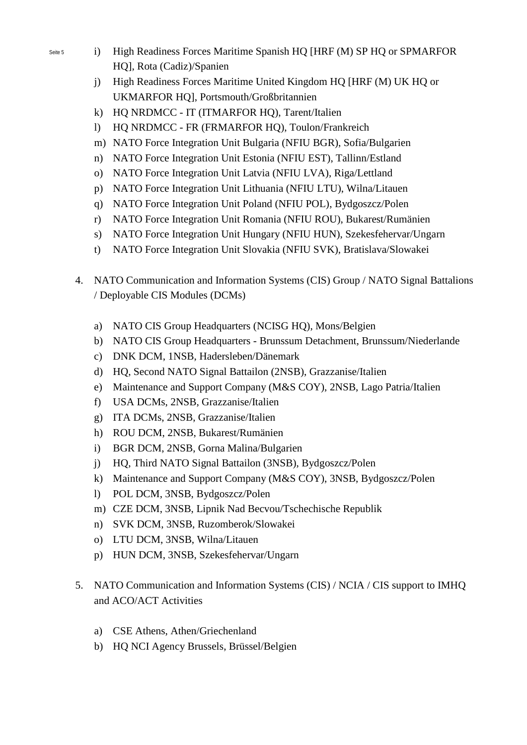- Seite 5 i) High Readiness Forces Maritime Spanish HQ [HRF (M) SP HQ or SPMARFOR HQ], Rota (Cadiz)/Spanien
	- j) High Readiness Forces Maritime United Kingdom HQ [HRF (M) UK HQ or UKMARFOR HQ], Portsmouth/Großbritannien
	- k) HO NRDMCC IT (ITMARFOR HO), Tarent/Italien
	- l) HQ NRDMCC FR (FRMARFOR HQ), Toulon/Frankreich
	- m) NATO Force Integration Unit Bulgaria (NFIU BGR), Sofia/Bulgarien
	- n) NATO Force Integration Unit Estonia (NFIU EST), Tallinn/Estland
	- o) NATO Force Integration Unit Latvia (NFIU LVA), Riga/Lettland
	- p) NATO Force Integration Unit Lithuania (NFIU LTU), Wilna/Litauen
	- q) NATO Force Integration Unit Poland (NFIU POL), Bydgoszcz/Polen
	- r) NATO Force Integration Unit Romania (NFIU ROU), Bukarest/Rumänien
	- s) NATO Force Integration Unit Hungary (NFIU HUN), Szekesfehervar/Ungarn
	- t) NATO Force Integration Unit Slovakia (NFIU SVK), Bratislava/Slowakei
	- 4. NATO Communication and Information Systems (CIS) Group / NATO Signal Battalions / Deployable CIS Modules (DCMs)
		- a) NATO CIS Group Headquarters (NCISG HQ), Mons/Belgien
		- b) NATO CIS Group Headquarters Brunssum Detachment, Brunssum/Niederlande
		- c) DNK DCM, 1NSB, Hadersleben/Dänemark
		- d) HQ, Second NATO Signal Battailon (2NSB), Grazzanise/Italien
		- e) Maintenance and Support Company (M&S COY), 2NSB, Lago Patria/Italien
		- f) USA DCMs, 2NSB, Grazzanise/Italien
		- g) ITA DCMs, 2NSB, Grazzanise/Italien
		- h) ROU DCM, 2NSB, Bukarest/Rumänien
		- i) BGR DCM, 2NSB, Gorna Malina/Bulgarien
		- j) HQ, Third NATO Signal Battailon (3NSB), Bydgoszcz/Polen
		- k) Maintenance and Support Company (M&S COY), 3NSB, Bydgoszcz/Polen
		- l) POL DCM, 3NSB, Bydgoszcz/Polen
		- m) CZE DCM, 3NSB, Lipnik Nad Becvou/Tschechische Republik
		- n) SVK DCM, 3NSB, Ruzomberok/Slowakei
		- o) LTU DCM, 3NSB, Wilna/Litauen
		- p) HUN DCM, 3NSB, Szekesfehervar/Ungarn
	- 5. NATO Communication and Information Systems (CIS) / NCIA / CIS support to IMHQ and ACO/ACT Activities
		- a) CSE Athens, Athen/Griechenland
		- b) HQ NCI Agency Brussels, Brüssel/Belgien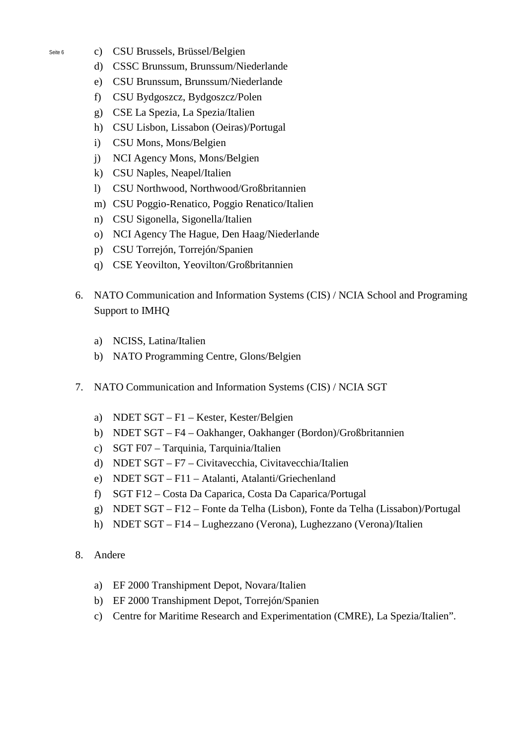- Seite 6 c) CSU Brussels, Brüssel/Belgien
	- d) CSSC Brunssum, Brunssum/Niederlande
	- e) CSU Brunssum, Brunssum/Niederlande
	- f) CSU Bydgoszcz, Bydgoszcz/Polen
	- g) CSE La Spezia, La Spezia/Italien
	- h) CSU Lisbon, Lissabon (Oeiras)/Portugal
	- i) CSU Mons, Mons/Belgien
	- j) NCI Agency Mons, Mons/Belgien
	- k) CSU Naples, Neapel/Italien
	- l) CSU Northwood, Northwood/Großbritannien
	- m) CSU Poggio-Renatico, Poggio Renatico/Italien
	- n) CSU Sigonella, Sigonella/Italien
	- o) NCI Agency The Hague, Den Haag/Niederlande
	- p) CSU Torrejón, Torrejón/Spanien
	- q) CSE Yeovilton, Yeovilton/Großbritannien
	- 6. NATO Communication and Information Systems (CIS) / NCIA School and Programing Support to IMHQ
		- a) NCISS, Latina/Italien
		- b) NATO Programming Centre, Glons/Belgien
	- 7. NATO Communication and Information Systems (CIS) / NCIA SGT
		- a) NDET SGT F1 Kester, Kester/Belgien
		- b) NDET SGT F4 Oakhanger, Oakhanger (Bordon)/Großbritannien
		- c) SGT F07 Tarquinia, Tarquinia/Italien
		- d) NDET SGT F7 Civitavecchia, Civitavecchia/Italien
		- e) NDET SGT F11 Atalanti, Atalanti/Griechenland
		- f) SGT F12 Costa Da Caparica, Costa Da Caparica/Portugal
		- g) NDET SGT F12 Fonte da Telha (Lisbon), Fonte da Telha (Lissabon)/Portugal
		- h) NDET SGT F14 Lughezzano (Verona), Lughezzano (Verona)/Italien
	- 8. Andere
		- a) EF 2000 Transhipment Depot, Novara/Italien
		- b) EF 2000 Transhipment Depot, Torrejón/Spanien
		- c) Centre for Maritime Research and Experimentation (CMRE), La Spezia/Italien".